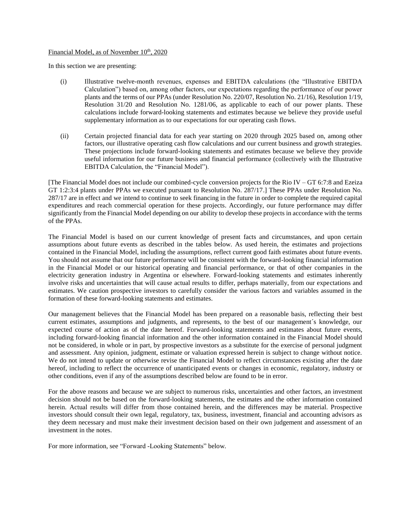## Financial Model, as of November 10<sup>th</sup>, 2020

In this section we are presenting:

- (i) Illustrative twelve-month revenues, expenses and EBITDA calculations (the "Illustrative EBITDA Calculation") based on, among other factors, our expectations regarding the performance of our power plants and the terms of our PPAs (under Resolution No. 220/07, Resolution No. 21/16), Resolution 1/19, Resolution 31/20 and Resolution No. 1281/06, as applicable to each of our power plants. These calculations include forward-looking statements and estimates because we believe they provide useful supplementary information as to our expectations for our operating cash flows.
- (ii) Certain projected financial data for each year starting on 2020 through 2025 based on, among other factors, our illustrative operating cash flow calculations and our current business and growth strategies. These projections include forward-looking statements and estimates because we believe they provide useful information for our future business and financial performance (collectively with the Illustrative EBITDA Calculation, the "Financial Model").

[The Financial Model does not include our combined-cycle conversion projects for the Rio IV – GT 6:7:8 and Ezeiza GT 1:2:3:4 plants under PPAs we executed pursuant to Resolution No. 287/17.] These PPAs under Resolution No. 287/17 are in effect and we intend to continue to seek financing in the future in order to complete the required capital expenditures and reach commercial operation for these projects. Accordingly, our future performance may differ significantly from the Financial Model depending on our ability to develop these projects in accordance with the terms of the PPAs.

The Financial Model is based on our current knowledge of present facts and circumstances, and upon certain assumptions about future events as described in the tables below. As used herein, the estimates and projections contained in the Financial Model, including the assumptions, reflect current good faith estimates about future events. You should not assume that our future performance will be consistent with the forward-looking financial information in the Financial Model or our historical operating and financial performance, or that of other companies in the electricity generation industry in Argentina or elsewhere. Forward-looking statements and estimates inherently involve risks and uncertainties that will cause actual results to differ, perhaps materially, from our expectations and estimates. We caution prospective investors to carefully consider the various factors and variables assumed in the formation of these forward-looking statements and estimates.

Our management believes that the Financial Model has been prepared on a reasonable basis, reflecting their best current estimates, assumptions and judgments, and represents, to the best of our management´s knowledge, our expected course of action as of the date hereof. Forward-looking statements and estimates about future events, including forward-looking financial information and the other information contained in the Financial Model should not be considered, in whole or in part, by prospective investors as a substitute for the exercise of personal judgment and assessment. Any opinion, judgment, estimate or valuation expressed herein is subject to change without notice. We do not intend to update or otherwise revise the Financial Model to reflect circumstances existing after the date hereof, including to reflect the occurrence of unanticipated events or changes in economic, regulatory, industry or other conditions, even if any of the assumptions described below are found to be in error.

For the above reasons and because we are subject to numerous risks, uncertainties and other factors, an investment decision should not be based on the forward-looking statements, the estimates and the other information contained herein. Actual results will differ from those contained herein, and the differences may be material. Prospective investors should consult their own legal, regulatory, tax, business, investment, financial and accounting advisors as they deem necessary and must make their investment decision based on their own judgement and assessment of an investment in the notes.

For more information, see "Forward -Looking Statements" below.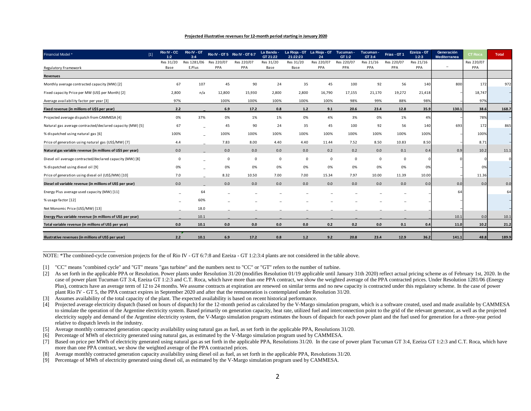## **Projected illustrative revenues for 12-month period starting in January 2020**

| Financial Model *                                           | $[1]$ | Rio IV - CC<br>1:2 | Rio IV - GT<br>3:4 |            | Rio IV - GT 5 Rio IV - GT 6:7 | La Banda -<br>GT 21:22 | 21:22:23  | La Rioja - GT La Rioja - GT<br>24 | Tucuman -<br>GT 1:2 | Tucuman -<br>GT 3:4 | Frias - GT 1 | Ezeiza - GT<br>1:2:3 | Generación<br><b>Mediterranea</b> | CT Roca    | <b>Total</b> |
|-------------------------------------------------------------|-------|--------------------|--------------------|------------|-------------------------------|------------------------|-----------|-----------------------------------|---------------------|---------------------|--------------|----------------------|-----------------------------------|------------|--------------|
|                                                             |       | Res 31/20          | Res 1281/06        | Res 220/07 | Res 220/07                    | Res 31/20              | Res 31/20 | Res 220/07                        | Res 220/07          | Res 21/16           | Res 220/07   | Res 21/16            | $\equiv$                          | Res 220/07 |              |
| Regulatory Framework                                        |       | Base               | E.Plus             | PPA        | PPA                           | Base                   | Base      | PPA                               | PPA                 | PPA                 | PPA          | PPA                  |                                   | PPA        |              |
| <b>Revenues</b>                                             |       |                    |                    |            |                               |                        |           |                                   |                     |                     |              |                      |                                   |            |              |
| Monthly average contracted capacity (MW) [2]                |       | 67                 | 107                | 45         | 90                            | 24                     | 35        | 45                                | 100                 | 92                  | 56           | 140                  | 800                               | 172        | 972          |
| Fixed capacity Price per MW (US\$ per Month) [2]            |       | 2,800              | n/a                | 12,800     | 15,930                        | 2,800                  | 2,800     | 16,790                            | 17,155              | 21,170              | 19,272       | 21,418               |                                   | 18,747     |              |
| Average availability factor per year [3]                    |       | 97%                |                    | 100%       | 100%                          | 100%                   | 100%      | 100%                              | 98%                 | 99%                 | 88%          | 98%                  |                                   | 97%        |              |
| Fixed revenue (in millions of U\$S per year)                |       | 2.2                |                    | 6.9        | 17.2                          | 0.8                    | $1.2$     | 9.1                               | 20.6                | 23.4                | 12.8         | 35.9                 | 130.1                             | 38.6       | 168.7        |
| Projected average dispatch from CAMMESA [4]                 |       | 0%                 | 37%                | 0%         | 1%                            | 1%                     | 0%        | 4%                                | 3%                  | 0%                  | 1%           | 4%                   |                                   | 78%        |              |
| Natural gas average contracted/declared capacity (MW) [5]   |       | 67                 |                    | 45         | 90                            | 24                     | 35        | 45                                | 100                 | 92                  | 56           | 140                  | 693                               | 172        | 865          |
| % dispatched using natural gas [6]                          |       | 100%               |                    | 100%       | 100%                          | 100%                   | 100%      | 100%                              | 100%                | 100%                | 100%         | 100%                 |                                   | 100%       |              |
| Price of generation using natural gas (US\$/MW) [7]         |       | 4.4                |                    | 7.83       | 8.00                          | 4.40                   | 4.40      | 11.44                             | 7.52                | 8.50                | 10.83        | 8.50                 |                                   | 8.71       |              |
| Natural gas variable revenue (in millions of U\$S per year) |       | 0.0                |                    | 0.0        | 0.0                           | 0.0                    | 0.0       | 0.2                               | 0.2                 | 0.0                 | 0.1          | 0.4                  | 0.9                               | 10.2       | 11.1         |
| Diesel oil average contracted/declared capacity (MW) [8]    |       | $\Omega$           |                    | $\Omega$   | $\mathbf 0$                   | $\Omega$               | 0         | 0                                 | 0                   | $\mathbf 0$         | $\mathbf 0$  |                      |                                   |            |              |
| % dispatched using diesel oil [9]                           |       | 0%                 |                    | 0%         | 0%                            | 0%                     | 0%        | 0%                                | 0%                  | 0%                  | 0%           | 0%                   |                                   | 0%         |              |
| Price of generation using diesel oil (US\$/MW) [10]         |       | 7.0                |                    | 8.32       | 10.50                         | 7.00                   | 7.00      | 15.34                             | 7.97                | 10.00               | 11.39        | 10.00                |                                   | 11.36      |              |
| Diesel oil variable revenue (in millions of US\$ per year)  |       | 0.0                |                    | 0.0        | 0.0                           | 0.0                    | 0.0       | 0.0                               | 0.0                 | 0.0                 | 0.0          | 0.0                  | 0.0                               | 0.0        | 0.0          |
| Energy Plus average used capacity (MW) [11]                 |       |                    | 64                 |            |                               |                        |           |                                   |                     |                     |              |                      | 64                                |            | 64           |
| % usage factor [12]                                         |       |                    | 60%                |            |                               |                        |           |                                   |                     |                     |              |                      |                                   |            |              |
| Net Monomic Price (US\$/MW) [13]                            |       |                    | 18.0               |            |                               |                        |           |                                   |                     |                     |              |                      |                                   |            |              |
| Energy Plus variable revenue (in millions of US\$ per year) |       |                    | 10.1               |            |                               |                        |           |                                   |                     |                     |              |                      | 10.1                              | 0.0        | 10.1         |
| Total variable revenue (in millions of US\$ per year)       |       | 0.0                | 10.1               | 0.0        | 0.0                           | 0.0                    | 0.0       | 0.2                               | 0.2                 | 0.0                 | 0.1          | 0.4                  | 11.0                              | 10.2       | 21.2         |
| Illustrative revenues (in millions of US\$ per year)        |       | 2.2                | 10.1               | 6.9        | 17.2                          | 0.8                    | 1.2       | 9.2                               | 20.8                | 23.4                | 12.9         | 36.2                 | 141.1                             | 48.8       | 189.9        |

NOTE: \*The combined-cycle conversion projects for the of Rio IV - GT 6:7:8 and Ezeiza - GT 1:2:3:4 plants are not considered in the table above.

[1] "CC" means "combined cycle" and "GT" means "gas turbine" and the numbers next to "CC" or "GT" refers to the number of turbine.

- [5] Average monthly contracted generation capacity availability using natural gas as fuel, as set forth in the applicable PPA, Resolutions 31/20.
- [6] Percentage of MWh of electricity generated using natural gas, as estimated by the V-Margo simulation program used by CAMMESA.

[7] Based on price per MWh of electricity generated using natural gas as set forth in the applicable PPA, Resolutions 31/20. In the case of power plant Tucuman GT 3:4, Ezeiza GT 1:2:3 and C.T. Roca, which have more than one PPA contract, we show the weighted average of the PPA contracted prices.

- [8] Average monthly contracted generation capacity availability using diesel oil as fuel, as set forth in the applicable PPA, Resolutions 31/20.
- [9] Percentage of MWh of electricity generated using diesel oil, as estimated by the V-Margo simulation program used by CAMMESA.

<sup>[2]</sup> As set forth in the applicable PPA or Resolution. Power plants under Resolution 31/20 (modifies Resolution 01/19 applicable until January 31th 2020) reflect actual pricing scheme as of February 1st, 2020. In the case of power plant Tucuman GT 3:4, Ezeiza GT 1:2:3 and C.T. Roca, which have more than one PPA contract, we show the weighted average of the PPA contracted prices. Under Resolution 1281/06 (Energy Plus), contracts have an average term of 12 to 24 months. We assume contracts at expiration are renewed on similar terms and no new capacity is contracted under this regulatory scheme. In the case of power plant Rio IV - GT 5, the PPA contract expires in September 2020 and after that the remuneration is contemplated under Resolution 31/20.

<sup>[3]</sup> Assumes availability of the total capacity of the plant. The expected availability is based on recent historical performance.

<sup>[4]</sup> Projected average electricity dispatch (based on hours of dispatch) for the 12-month period as calculated by the V-Margo simulation program, which is a software created, used and made available by CAMMESA to simulate the operation of the Argentine electricity system. Based primarily on generation capacity, heat rate, utilized fuel and interconnection point to the grid of the relevant generator, as well as the projected electricity supply and demand of the Argentine electricity system, the V-Margo simulation program estimates the hours of dispatch for each power plant and the fuel used for generation for a three-year period relative to dispatch levels in the industry.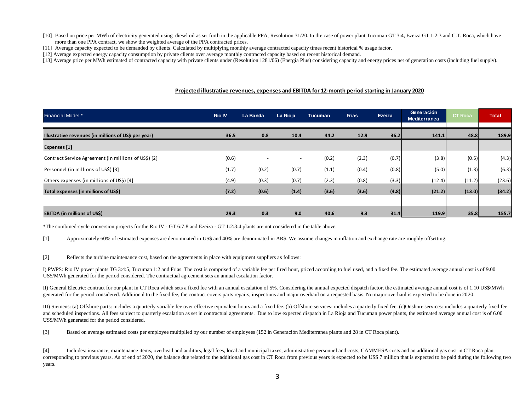- [10] Based on price per MWh of electricity generated using diesel oil as set forth in the applicable PPA, Resolution 31/20. In the case of power plant Tucuman GT 3:4, Ezeiza GT 1:2:3 and C.T. Roca, which have more than one PPA contract, we show the weighted average of the PPA contracted prices.
- [11] Average capacity expected to be demanded by clients. Calculated by multiplying monthly average contracted capacity times recent historical % usage factor.
- [12] Average expected energy capacity consumption by private clients over average monthly contracted capacity based on recent historical demand.
- [13] Average price per MWh estimated of contracted capacity with private clients under (Resolution 1281/06) (Energía Plus) considering capacity and energy prices net of generation costs (including fuel supply).

## **Projected illustrative revenues, expenses and EBITDA for 12-month period starting in January 2020**

| <b>Financial Model</b> *                             | <b>Rio IV</b> | La Banda                 | La Rioja                 | <b>Tucuman</b> | <b>Frias</b> | Ezeiza | Generación<br><b>Mediterranea</b> | <b>CT Roca</b> | <b>Total</b> |
|------------------------------------------------------|---------------|--------------------------|--------------------------|----------------|--------------|--------|-----------------------------------|----------------|--------------|
| Illustrative revenues (in millions of US\$ per year) | 36.5          | 0.8                      | 10.4                     | 44.2           | 12.9         | 36.2   | 141.1                             | 48.8           | 189.9        |
| Expenses [1]                                         |               |                          |                          |                |              |        |                                   |                |              |
| Contract Service Agreement (in millions of US\$) [2] | (0.6)         | $\overline{\phantom{a}}$ | $\overline{\phantom{0}}$ | (0.2)          | (2.3)        | (0.7)  | (3.8)                             | (0.5)          | (4.3)        |
| Personnel (in millions of US\$) [3]                  | (1.7)         | (0.2)                    | (0.7)                    | (1.1)          | (0.4)        | (0.8)  | (5.0)                             | (1.3)          | (6.3)        |
| Others expenses (in millions of US\$) [4]            | (4.9)         | (0.3)                    | (0.7)                    | (2.3)          | (0.8)        | (3.3)  | (12.4)                            | (11.2)         | (23.6)       |
| Total expenses (in millions of US\$)                 | (7.2)         | (0.6)                    | (1.4)                    | (3.6)          | (3.6)        | (4.8)  | (21.2)                            | (13.0)         | (34.2)       |
|                                                      |               |                          |                          |                |              |        |                                   |                |              |
| <b>EBITDA (in millions of US\$)</b>                  | 29.3          | 0.3                      | 9.0                      | 40.6           | 9.3          | 31.4   | 119.9                             | 35.8           | 155.7        |

\*The combined-cycle conversion projects for the Rio IV - GT 6:7:8 and Ezeiza - GT 1:2:3:4 plants are not considered in the table above.

[1] Approximately 60% of estimated expenses are denominated in US\$ and 40% are denominated in AR\$. We assume changes in inflation and exchange rate are roughly offsetting.

[2] Reflects the turbine maintenance cost, based on the agreements in place with equipment suppliers as follows:

I) PWPS: Rio IV power plants TG 3:4:5, Tucuman 1:2 and Frias. The cost is comprised of a variable fee per fired hour, priced according to fuel used, and a fixed fee. The estimated average annual cost is of 9.00 US\$/MWh generated for the period considered. The contractual agreement sets an annual escalation factor.

II) General Electric: contract for our plant in CT Roca which sets a fixed fee with an annual escalation of 5%. Considering the annual expected dispatch factor, the estimated average annual cost is of 1.10 US\$/MWh generated for the period considered. Additional to the fixed fee, the contract covers parts repairs, inspections and major overhaul on a requested basis. No major overhaul is expected to be done in 2020.

III) Siemens: (a) Offshore parts: includes a quarterly variable fee over effective equivalent hours and a fixed fee. (b) Offshore services: includes a quarterly fixed fee. (c)Onshore services: includes a quarterly fixed fee and scheduled inspections. All fees subject to quarterly escalation as set in contractual agreements. Due to low expected dispatch in La Rioja and Tucuman power plants, the estimated average annual cost is of 6.00 US\$/MWh generated for the period considered.

[3] Based on average estimated costs per employee multiplied by our number of employees (152 in Generación Mediterranea plants and 28 in CT Roca plant).

[4] Includes: insurance, maintenance items, overhead and auditors, legal fees, local and municipal taxes, administrative personnel and costs, CAMMESA costs and an additional gas cost in CT Roca plant corresponding to previous years. As of end of 2020, the balance due related to the additional gas cost in CT Roca from previous years is expected to be U\$S 7 million that is expected to be paid during the following two years.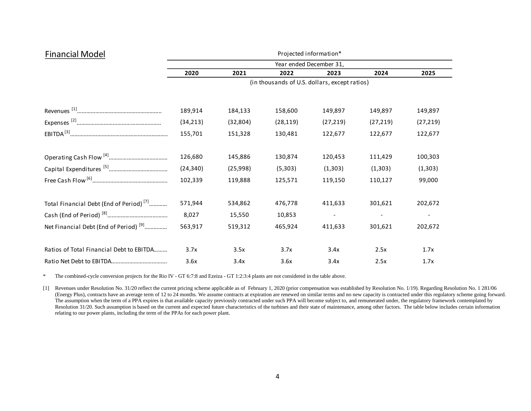| <b>Financial Model</b>                              | Projected information*                        |           |           |           |           |                          |  |  |  |  |
|-----------------------------------------------------|-----------------------------------------------|-----------|-----------|-----------|-----------|--------------------------|--|--|--|--|
|                                                     | Year ended December 31,                       |           |           |           |           |                          |  |  |  |  |
|                                                     | 2020                                          | 2021      | 2022      | 2023      | 2024      | 2025                     |  |  |  |  |
|                                                     | (in thousands of U.S. dollars, except ratios) |           |           |           |           |                          |  |  |  |  |
|                                                     | 189,914                                       | 184,133   | 158,600   | 149,897   | 149,897   | 149,897                  |  |  |  |  |
|                                                     | (34, 213)                                     | (32, 804) | (28, 119) | (27, 219) | (27, 219) | (27, 219)                |  |  |  |  |
|                                                     | 155,701                                       | 151,328   | 130,481   | 122,677   | 122,677   | 122,677                  |  |  |  |  |
|                                                     | 126,680                                       | 145,886   | 130,874   | 120,453   | 111,429   | 100,303                  |  |  |  |  |
|                                                     | (24, 340)                                     | (25,998)  | (5,303)   | (1,303)   | (1,303)   | (1, 303)                 |  |  |  |  |
|                                                     | 102,339                                       | 119,888   | 125,571   | 119,150   | 110,127   | 99,000                   |  |  |  |  |
| Total Financial Debt (End of Period) <sup>[7]</sup> | 571,944                                       | 534,862   | 476,778   | 411,633   | 301,621   | 202,672                  |  |  |  |  |
|                                                     | 8,027                                         | 15,550    | 10,853    |           |           | $\overline{\phantom{a}}$ |  |  |  |  |
| Net Financial Debt (End of Period) <sup>[9]</sup>   | 563,917                                       | 519,312   | 465,924   | 411,633   | 301,621   | 202,672                  |  |  |  |  |
| Ratios of Total Financial Debt to EBITDA            | 3.7x                                          | 3.5x      | 3.7x      | 3.4x      | 2.5x      | 1.7x                     |  |  |  |  |
|                                                     | 3.6x                                          | 3.4x      | 3.6x      | 3.4x      | 2.5x      | 1.7x                     |  |  |  |  |

\* The combined-cycle conversion projects for the Rio IV - GT 6:7:8 and Ezeiza - GT 1:2:3:4 plants are not considered in the table above.

[1] Revenues under Resolution No. 31/20 reflect the current pricing scheme applicable as of February 1, 2020 (prior compensation was established by Resolution No. 1/19). Regarding Resolution No. 1 281/06 (Energy Plus), contracts have an average term of 12 to 24 months. We assume contracts at expiration are renewed on similar terms and no new capacity is contracted under this regulatory scheme going forward. The assumption when the term of a PPA expires is that available capacity previously contracted under such PPA will become subject to, and remunerated under, the regulatory framework contemplated by Resolution 31/20. Such assumption is based on the current and expected future characteristics of the turbines and their state of maintenance, among other factors. The table below includes certain information relating to our power plants, including the term of the PPAs for each power plant.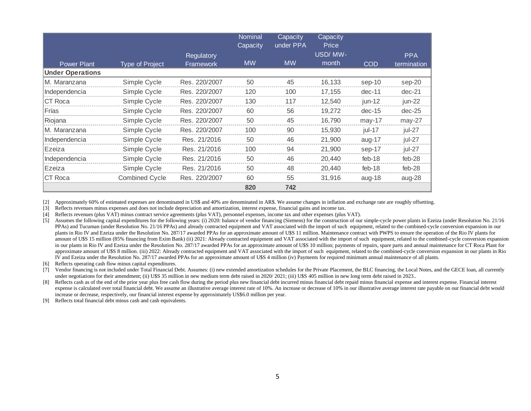|                         |                        |               | <b>Nominal</b><br>Capacity | Capacity<br>under PPA | Capacity<br>Price |            |             |
|-------------------------|------------------------|---------------|----------------------------|-----------------------|-------------------|------------|-------------|
|                         |                        | Regulatory    |                            |                       | USD/MW-           |            | <b>PPA</b>  |
| <b>Power Plant</b>      | <b>Type of Project</b> | Framework     | <b>MW</b>                  | <b>MW</b>             | month             | <b>COD</b> | termination |
| <b>Under Operations</b> |                        |               |                            |                       |                   |            |             |
| M. Maranzana            | Simple Cycle           | Res. 220/2007 | 50                         | 45                    | 16,133            | sep-10     | sep-20      |
| Independencia           | Simple Cycle           | Res. 220/2007 | 120                        | 100                   | 17,155            | $dec-11$   | $dec-21$    |
| CT Roca                 | Simple Cycle           | Res. 220/2007 | 130                        | 117                   | 12,540            | $jun-12$   | jun-22      |
| Frías                   | Simple Cycle           | Res. 220/2007 | 60                         | 56                    | 19,272            | $dec-15$   | $dec-25$    |
| Riojana                 | Simple Cycle           | Res. 220/2007 | 50                         | 45                    | 16,790            | $may-17$   | $may-27$    |
| M. Maranzana            | Simple Cycle           | Res. 220/2007 | 100                        | 90                    | 15,930            | jul-17     | jul-27      |
| Independencia           | Simple Cycle           | Res. 21/2016  | 50                         | 46                    | 21,900            | aug-17     | jul-27      |
| Ezeiza                  | Simple Cycle           | Res. 21/2016  | 100                        | 94                    | 21,900            | sep-17     | jul-27      |
| Independencia           | Simple Cycle           | Res. 21/2016  | 50                         | 46                    | 20,440            | feb-18     | feb-28      |
| Ezeiza                  | Simple Cycle           | Res. 21/2016  | 50                         | 48                    | 20.440            | feb-18     | $feb-28$    |
| CT Roca                 | <b>Combined Cycle</b>  | Res. 220/2007 | 60                         | 55                    | 31,916            | aug-18     | aug-28      |
|                         |                        |               | 820                        | 742                   |                   |            |             |

[2] Approximately 60% of estimated expenses are denominated in US\$ and 40% are denominated in AR\$. We assume changes in inflation and exchange rate are roughly offsetting.

[3] Reflects revenues minus expenses and does not include depreciation and amortization, interest expense, financial gains and income tax.

[4] Reflects revenues (plus VAT) minus contract service agreements (plus VAT), personnel expenses, income tax and other expenses (plus VAT).

[5] Assumes the following capital expenditures for the following years: (i) 2020: balance of vendor financing (Siemens) for the construction of our simple-cycle power plants in Ezeiza (under Resolution No. 21/16 PPAs) and Tucuman (under Resolution No. 21/16 PPAs) and already contracted equipment and VAT associated with the import of such equipment, related to the combined-cycle conversion expansion in our plants in Rio IV and Ezeiza under the Resolution No. 287/17 awarded PPAs for an approximate amount of U\$S 11 million. Maintenance contract with PWPS to ensure the operation of the Rio IV plants for amount of U\$S 15 million (85% financing from Exim Bank) (ii) 2021: Already contracted equipment and VAT associated with the import of such equipment, related to the combined-cycle conversion expansion in our plants in Rio IV and Ezeiza under the Resolution No. 287/17 awarded PPAs for an approximate amount of U\$S 10 million; payments of repairs, spare parts and annual maintenance for CT Roca Plant for approximate amount of U\$S 8 million. (iii) 2022: Already contracted equipment and VAT associated with the import of such equipment, related to the combined-cycle conversion expansion in our plants in Rio IV and Ezeiza under the Resolution No. 287/17 awarded PPAs for an approximate amount of U\$S 4 million (iv) Payments for required minimum annual maintenance of all plants.

[6] Reflects operating cash flow minus capital expenditures.

[7] Vendor financing is not included under Total Financial Debt. Assumes: (i) new extended amortization schedules for the Private Placement, the BLC financing, the Local Notes, and the GECE loan, all currently under negotiations for their amendment; (ii) U\$S 35 million in new medium term debt raised in 2020/ 2021; (iii) U\$S 405 million in new long term debt raised in 2023..

[8] Reflects cash as of the end of the prior year plus free cash flow during the period plus new financial debt incurred minus financial debt repaid minus financial expense and interest expense. Financial interest expense is calculated over total financial debt. We assume an illustrative average interest rate of 10%. An increase or decrease of 10% in our illustrative average interest rate payable on our financial debt would increase or decrease, respectively, our financial interest expense by approximately US\$6.0 million per year.

[9] Reflects total financial debt minus cash and cash equivalents.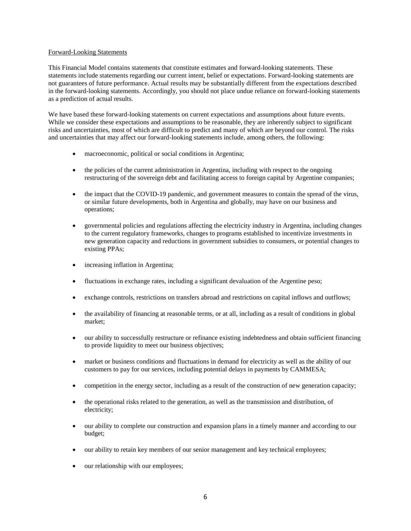## Forward-Looking Statements

This Financial Model contains statements that constitute estimates and forward-looking statements. These statements include statements regarding our current intent, belief or expectations. Forward-looking statements are not guarantees of future performance. Actual results may be substantially different from the expectations described in the forward-looking statements. Accordingly, you should not place undue reliance on forward-looking statements as a prediction of actual results.

We have based these forward-looking statements on current expectations and assumptions about future events. While we consider these expectations and assumptions to be reasonable, they are inherently subject to significant risks and uncertainties, most of which are difficult to predict and many of which are beyond our control. The risks and uncertainties that may affect our forward-looking statements include, among others, the following:

- macroeconomic, political or social conditions in Argentina;
- the policies of the current administration in Argentina, including with respect to the ongoing restructuring of the sovereign debt and facilitating access to foreign capital by Argentine companies;
- the impact that the COVID-19 pandemic, and government measures to contain the spread of the virus, or similar future developments, both in Argentina and globally, may have on our business and operations;
- governmental policies and regulations affecting the electricity industry in Argentina, including changes to the current regulatory frameworks, changes to programs established to incentivize investments in new generation capacity and reductions in government subsidies to consumers, or potential changes to existing PPAs;
- increasing inflation in Argentina;
- fluctuations in exchange rates, including a significant devaluation of the Argentine peso;
- exchange controls, restrictions on transfers abroad and restrictions on capital inflows and outflows;
- the availability of financing at reasonable terms, or at all, including as a result of conditions in global market;
- our ability to successfully restructure or refinance existing indebtedness and obtain sufficient financing to provide liquidity to meet our business objectives;
- market or business conditions and fluctuations in demand for electricity as well as the ability of our customers to pay for our services, including potential delays in payments by CAMMESA;
- competition in the energy sector, including as a result of the construction of new generation capacity;
- the operational risks related to the generation, as well as the transmission and distribution, of electricity;
- our ability to complete our construction and expansion plans in a timely manner and according to our budget;
- our ability to retain key members of our senior management and key technical employees;
- our relationship with our employees;